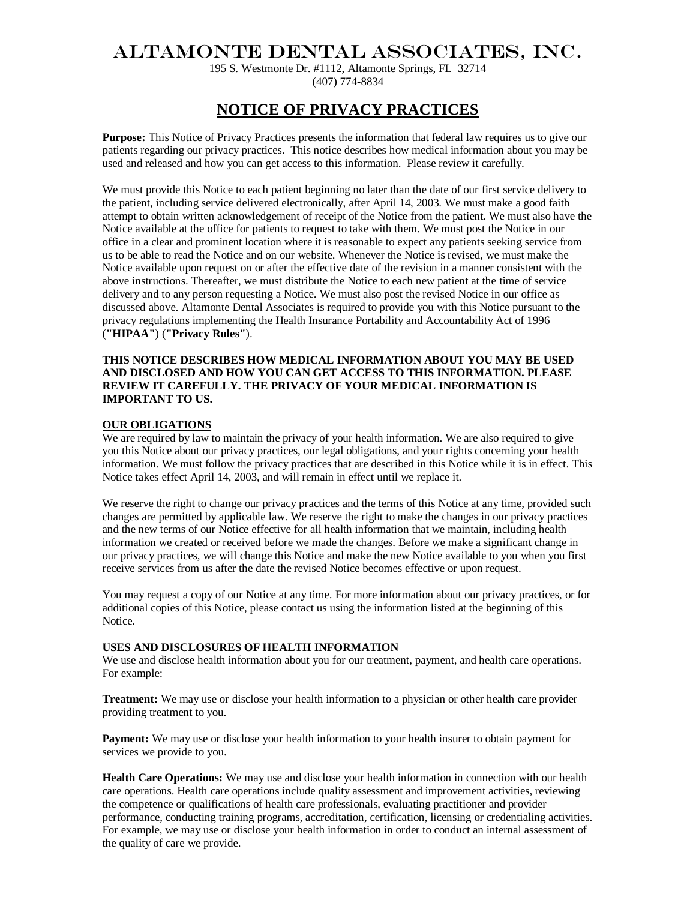# ALTAMONTE DENTAL ASSOCIATES, INC.

195 S. Westmonte Dr. #1112, Altamonte Springs, FL 32714 (407) 774-8834

## **NOTICE OF PRIVACY PRACTICES**

**Purpose:** This Notice of Privacy Practices presents the information that federal law requires us to give our patients regarding our privacy practices. This notice describes how medical information about you may be used and released and how you can get access to this information. Please review it carefully.

We must provide this Notice to each patient beginning no later than the date of our first service delivery to the patient, including service delivered electronically, after April 14, 2003. We must make a good faith attempt to obtain written acknowledgement of receipt of the Notice from the patient. We must also have the Notice available at the office for patients to request to take with them. We must post the Notice in our office in a clear and prominent location where it is reasonable to expect any patients seeking service from us to be able to read the Notice and on our website. Whenever the Notice is revised, we must make the Notice available upon request on or after the effective date of the revision in a manner consistent with the above instructions. Thereafter, we must distribute the Notice to each new patient at the time of service delivery and to any person requesting a Notice. We must also post the revised Notice in our office as discussed above. Altamonte Dental Associates is required to provide you with this Notice pursuant to the privacy regulations implementing the Health Insurance Portability and Accountability Act of 1996 (**"HIPAA"**) (**"Privacy Rules"**).

#### **THIS NOTICE DESCRIBES HOW MEDICAL INFORMATION ABOUT YOU MAY BE USED AND DISCLOSED AND HOW YOU CAN GET ACCESS TO THIS INFORMATION. PLEASE REVIEW IT CAREFULLY. THE PRIVACY OF YOUR MEDICAL INFORMATION IS IMPORTANT TO US.**

#### **OUR OBLIGATIONS**

We are required by law to maintain the privacy of your health information. We are also required to give you this Notice about our privacy practices, our legal obligations, and your rights concerning your health information. We must follow the privacy practices that are described in this Notice while it is in effect. This Notice takes effect April 14, 2003, and will remain in effect until we replace it.

We reserve the right to change our privacy practices and the terms of this Notice at any time, provided such changes are permitted by applicable law. We reserve the right to make the changes in our privacy practices and the new terms of our Notice effective for all health information that we maintain, including health information we created or received before we made the changes. Before we make a significant change in our privacy practices, we will change this Notice and make the new Notice available to you when you first receive services from us after the date the revised Notice becomes effective or upon request.

You may request a copy of our Notice at any time. For more information about our privacy practices, or for additional copies of this Notice, please contact us using the information listed at the beginning of this Notice.

#### **USES AND DISCLOSURES OF HEALTH INFORMATION**

We use and disclose health information about you for our treatment, payment, and health care operations. For example:

**Treatment:** We may use or disclose your health information to a physician or other health care provider providing treatment to you.

**Payment:** We may use or disclose your health information to your health insurer to obtain payment for services we provide to you.

**Health Care Operations:** We may use and disclose your health information in connection with our health care operations. Health care operations include quality assessment and improvement activities, reviewing the competence or qualifications of health care professionals, evaluating practitioner and provider performance, conducting training programs, accreditation, certification, licensing or credentialing activities. For example, we may use or disclose your health information in order to conduct an internal assessment of the quality of care we provide.